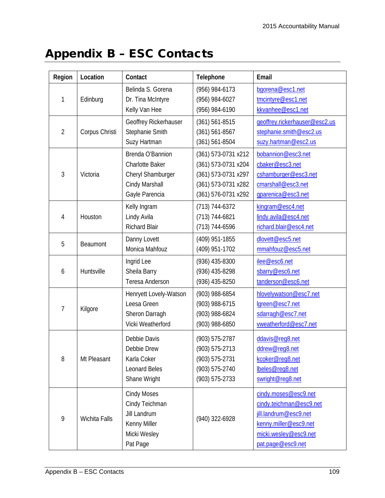## Appendix B – ESC Contacts

| Region         | Location       | Contact                | Telephone           | Email                         |
|----------------|----------------|------------------------|---------------------|-------------------------------|
| 1              | Edinburg       | Belinda S. Gorena      | (956) 984-6173      | bgorena@esc1.net              |
|                |                | Dr. Tina McIntyre      | (956) 984-6027      | tmcintyre@esc1.net            |
|                |                | Kelly Van Hee          | (956) 984-6190      | kkvanhee@esc1.net             |
| $\overline{2}$ | Corpus Christi | Geoffrey Rickerhauser  | $(361) 561 - 8515$  | geoffrey.rickerhauser@esc2.us |
|                |                | Stephanie Smith        | $(361) 561 - 8567$  | stephanie.smith@esc2.us       |
|                |                | Suzy Hartman           | (361) 561-8504      | suzy.hartman@esc2.us          |
| 3              | Victoria       | Brenda O'Bannion       | (361) 573-0731 x212 | bobannion@esc3.net            |
|                |                | <b>Charlotte Baker</b> | (361) 573-0731 x204 | cbaker@esc3.net               |
|                |                | Cheryl Shamburger      | (361) 573-0731 x297 | cshamburger@esc3.net          |
|                |                | Cindy Marshall         | (361) 573-0731 x282 | cmarshall@esc3.net            |
|                |                | Gayle Parencia         | (361) 576-0731 x292 | gparenica@esc3.net            |
| 4              | Houston        | Kelly Ingram           | $(713) 744 - 6372$  | kingram@esc4.net              |
|                |                | Lindy Avila            | (713) 744-6821      | lindy.avila@esc4.net          |
|                |                | <b>Richard Blair</b>   | (713) 744-6596      | richard.blair@esc4.net        |
| 5              | Beaumont       | Danny Lovett           | (409) 951-1855      | dlovett@esc5.net              |
|                |                | Monica Mahfouz         | (409) 951-1702      | mmahfouz@esc5.net             |
| 6              | Huntsville     | Ingrid Lee             | (936) 435-8300      | ilee@esc6.net                 |
|                |                | Sheila Barry           | (936) 435-8298      | sbarry@esc6.net               |
|                |                | Teresa Anderson        | (936) 435-8250      | tanderson@esc6.net            |
| 7              | Kilgore        | Henryett Lovely-Watson | (903) 988-6854      | hlovelywatson@esc7.net        |
|                |                | Leesa Green            | (903) 988-6715      | lgreen@esc7.net               |
|                |                | Sheron Darragh         | (903) 988-6824      | sdarragh@esc7.net             |
|                |                | Vicki Weatherford      | (903) 988-6850      | vweatherford@esc7.net         |
| 8              | Mt Pleasant    | Debbie Davis           | (903) 575-2787      | ddavis@req8.net               |
|                |                | Debbie Drew            | (903) 575-2713      | ddrew@reg8.net                |
|                |                | Karla Coker            | (903) 575-2731      | kcoker@req8.net               |
|                |                | <b>Leonard Beles</b>   | (903) 575-2740      | lbeles@req8.net               |
|                |                | Shane Wright           | (903) 575-2733      | swright@reg8.net              |
| 9              | Wichita Falls  | <b>Cindy Moses</b>     | (940) 322-6928      | cindy.moses@esc9.net          |
|                |                | Cindy Teichman         |                     | cindy.teichman@esc9.net       |
|                |                | Jill Landrum           |                     | jill.landrum@esc9.net         |
|                |                | Kenny Miller           |                     | kenny.miller@esc9.net         |
|                |                | Micki Wesley           |                     | micki.wesley@esc9.net         |
|                |                | Pat Page               |                     | pat.page@esc9.net             |